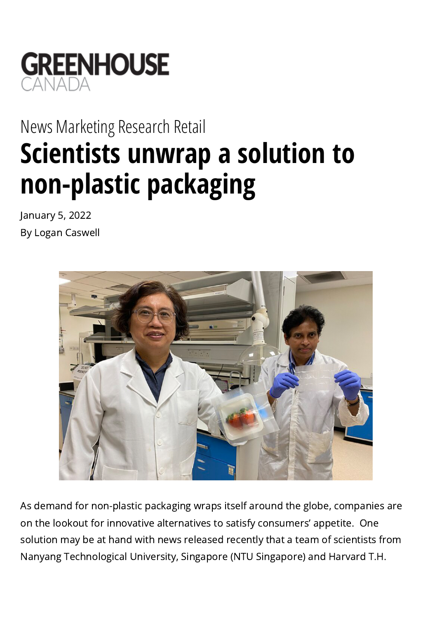

## [News](https://www.greenhousecanada.com/category/news/) [Marketing](https://www.greenhousecanada.com/topic/business/marketing/) [Research](https://www.greenhousecanada.com/topic/business/research/) [Retail](https://www.greenhousecanada.com/topic/business/retail/) **Scientists unwrap a solution to non-plastic packaging**

January 5, 2022 By Logan Caswell



As demand for non-plastic packaging wraps itself around the globe, companies are on the lookout for innovative alternatives to satisfy consumers' appetite. One solution may be at hand with news released recently that a team of scientists from Nanyang Technological University, Singapore (NTU Singapore) and Harvard T.H.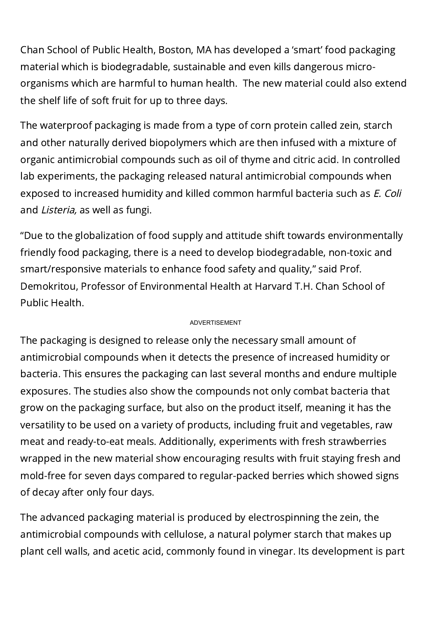Chan School of Public Health, Boston, MA has developed a 'smart' food packaging material which is biodegradable, sustainable and even kills dangerous microorganisms which are harmful to human health. The new material could also extend the shelf life of soft fruit for up to three days.

The waterproof packaging is made from a type of corn protein called zein, starch and other naturally derived biopolymers which are then infused with a mixture of organic antimicrobial compounds such as oil of thyme and citric acid. In controlled lab experiments, the packaging released natural antimicrobial compounds when exposed to increased humidity and killed common harmful bacteria such as *E. Coli* and Listeria, as well as fungi.

"Due to the globalization of food supply and attitude shift towards environmentally friendly food packaging, there is a need to develop biodegradable, non-toxic and smart/responsive materials to enhance food safety and quality," said Prof. Demokritou, Professor of Environmental Health at Harvard T.H. Chan School of Public Health.

## ADVERTISEMENT

The packaging is designed to release only the necessary small amount of antimicrobial compounds when it detects the presence of increased humidity or bacteria. This ensures the packaging can last several months and endure multiple exposures. The studies also show the compounds not only combat bacteria that grow on the packaging surface, but also on the product itself, meaning it has the versatility to be used on a variety of products, including fruit and vegetables, raw meat and ready-to-eat meals. Additionally, experiments with fresh strawberries wrapped in the new material show encouraging results with fruit staying fresh and mold-free for seven days compared to regular-packed berries which showed signs of decay after only four days.

The advanced packaging material is produced by electrospinning the zein, the antimicrobial compounds with cellulose, a natural polymer starch that makes up plant cell walls, and acetic acid, commonly found in vinegar. Its development is part